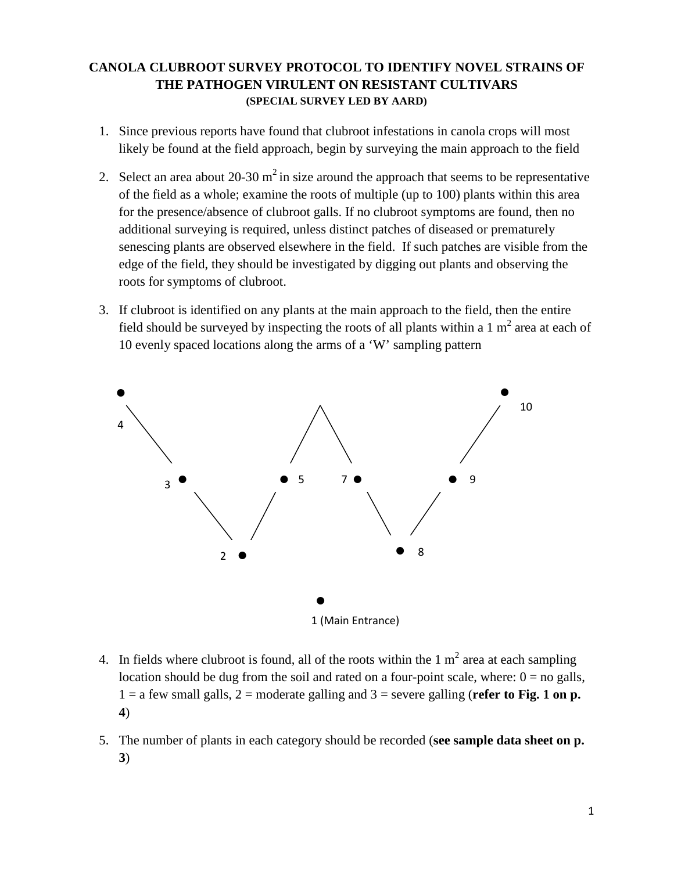# **CANOLA CLUBROOT SURVEY PROTOCOL TO IDENTIFY NOVEL STRAINS OF THE PATHOGEN VIRULENT ON RESISTANT CULTIVARS (SPECIAL SURVEY LED BY AARD)**

- 1. Since previous reports have found that clubroot infestations in canola crops will most likely be found at the field approach, begin by surveying the main approach to the field
- 2. Select an area about  $20-30 \text{ m}^2$  in size around the approach that seems to be representative of the field as a whole; examine the roots of multiple (up to 100) plants within this area for the presence/absence of clubroot galls. If no clubroot symptoms are found, then no additional surveying is required, unless distinct patches of diseased or prematurely senescing plants are observed elsewhere in the field. If such patches are visible from the edge of the field, they should be investigated by digging out plants and observing the roots for symptoms of clubroot.
- 3. If clubroot is identified on any plants at the main approach to the field, then the entire field should be surveyed by inspecting the roots of all plants within a 1  $m<sup>2</sup>$  area at each of 10 evenly spaced locations along the arms of a 'W' sampling pattern



- 4. In fields where clubroot is found, all of the roots within the 1  $m<sup>2</sup>$  area at each sampling location should be dug from the soil and rated on a four-point scale, where:  $0 =$  no galls,  $1 = a$  few small galls,  $2 =$  moderate galling and  $3 =$  severe galling (**refer to Fig. 1 on p. 4**)
- 5. The number of plants in each category should be recorded (**see sample data sheet on p. 3**)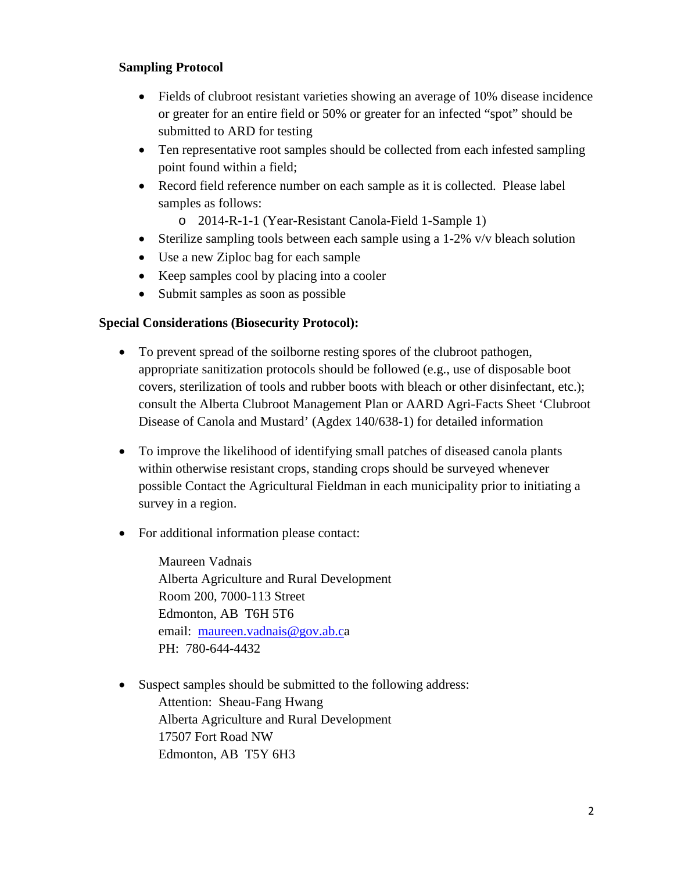# **Sampling Protocol**

- Fields of clubroot resistant varieties showing an average of 10% disease incidence or greater for an entire field or 50% or greater for an infected "spot" should be submitted to ARD for testing
- Ten representative root samples should be collected from each infested sampling point found within a field;
- Record field reference number on each sample as it is collected. Please label samples as follows:
	- o 2014-R-1-1 (Year-Resistant Canola-Field 1-Sample 1)
- Sterilize sampling tools between each sample using a 1-2% v/v bleach solution
- Use a new Ziploc bag for each sample
- Keep samples cool by placing into a cooler
- Submit samples as soon as possible

### **Special Considerations (Biosecurity Protocol):**

- To prevent spread of the soilborne resting spores of the clubroot pathogen, appropriate sanitization protocols should be followed (e.g., use of disposable boot covers, sterilization of tools and rubber boots with bleach or other disinfectant, etc.); consult the Alberta Clubroot Management Plan or AARD Agri-Facts Sheet 'Clubroot Disease of Canola and Mustard' (Agdex 140/638-1) for detailed information
- To improve the likelihood of identifying small patches of diseased canola plants within otherwise resistant crops, standing crops should be surveyed whenever possible Contact the Agricultural Fieldman in each municipality prior to initiating a survey in a region.
- For additional information please contact:

Maureen Vadnais Alberta Agriculture and Rural Development Room 200, 7000-113 Street Edmonton, AB T6H 5T6 email: [maureen.vadnais@gov.ab.ca](mailto:maureen.vadnais@gov.ab.c) PH: 780-644-4432

• Suspect samples should be submitted to the following address: Attention: Sheau-Fang Hwang Alberta Agriculture and Rural Development 17507 Fort Road NW Edmonton, AB T5Y 6H3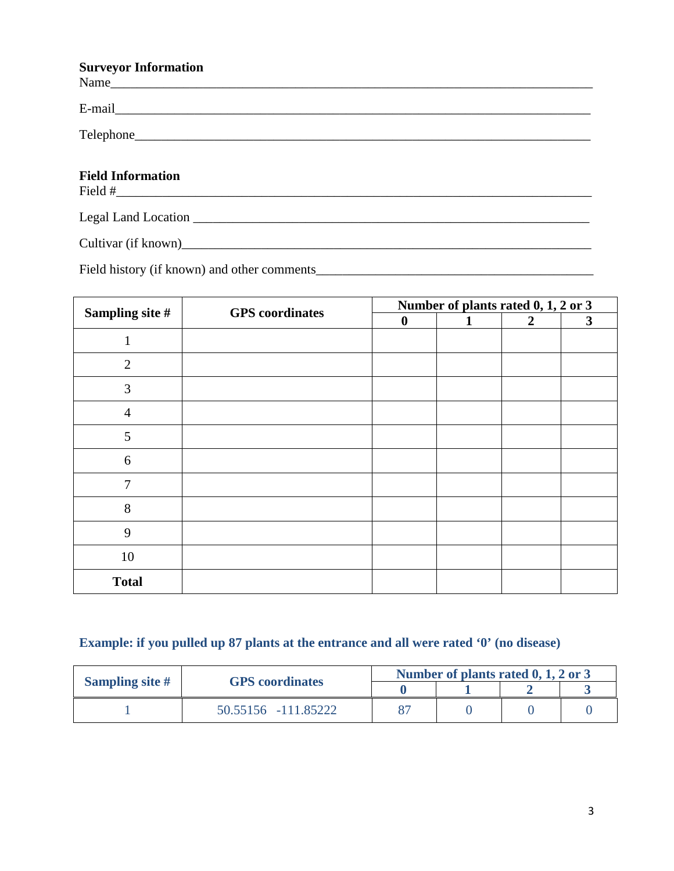#### **Surveyor Information**

| $\mathbf{u}$ , $\mathbf{v}$ , $\mathbf{v}$ and $\mathbf{u}$ in $\mathbf{u}$                                                                                                                                                      |
|----------------------------------------------------------------------------------------------------------------------------------------------------------------------------------------------------------------------------------|
|                                                                                                                                                                                                                                  |
|                                                                                                                                                                                                                                  |
| <b>Field Information</b>                                                                                                                                                                                                         |
|                                                                                                                                                                                                                                  |
| Cultivar (if known)<br>expansion of the contract of the contract of the contract of the contract of the contract of the contract of the contract of the contract of the contract of the contract of the contract of the contract |

Field history (if known) and other comments\_\_\_\_\_\_\_\_\_\_\_\_\_\_\_\_\_\_\_\_\_\_\_\_\_\_\_\_\_\_\_\_\_\_\_\_\_\_\_\_\_\_

| Sampling site #  | <b>GPS</b> coordinates | Number of plants rated 0, 1, 2 or 3 |              |                |              |
|------------------|------------------------|-------------------------------------|--------------|----------------|--------------|
|                  |                        | $\boldsymbol{0}$                    | $\mathbf{1}$ | $\overline{2}$ | $\mathbf{3}$ |
|                  |                        |                                     |              |                |              |
| $\overline{2}$   |                        |                                     |              |                |              |
| 3                |                        |                                     |              |                |              |
| $\overline{4}$   |                        |                                     |              |                |              |
| 5                |                        |                                     |              |                |              |
| $\boldsymbol{6}$ |                        |                                     |              |                |              |
| $\overline{7}$   |                        |                                     |              |                |              |
| 8                |                        |                                     |              |                |              |
| 9                |                        |                                     |              |                |              |
| 10               |                        |                                     |              |                |              |
| <b>Total</b>     |                        |                                     |              |                |              |

# **Example: if you pulled up 87 plants at the entrance and all were rated '0' (no disease)**

| <b>Sampling site #</b> | <b>GPS</b> coordinates | Number of plants rated $0, 1, 2$ or 3 |  |  |  |
|------------------------|------------------------|---------------------------------------|--|--|--|
|                        |                        |                                       |  |  |  |
|                        | 50.55156 -111.85222    |                                       |  |  |  |